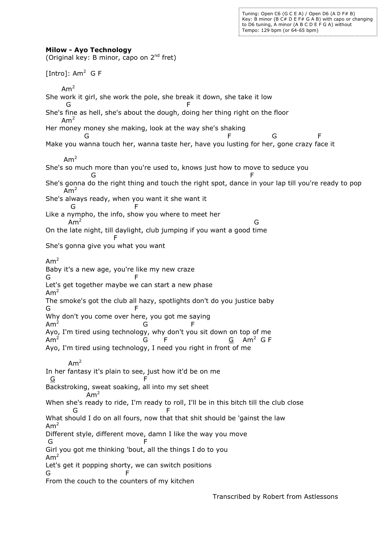Tuning: Open C6 (G C E A) / Open D6 (A D F# B) Key: B minor (B C# D E F# G A B) with capo or changing to D6 tuning, A minor (A B C D E F G A) without Tempo: 129 bpm (or 64-65 bpm)

## **Milow - Ayo Technology**

(Original key: B minor, capo on  $2^{nd}$  fret) [Intro]:  $Am^2$  G F  $Am<sup>2</sup>$ She work it girl, she work the pole, she break it down, she take it low **G** F She's fine as hell, she's about the dough, doing her thing right on the floor  $Am<sup>2</sup>$ Her money money she making, look at the way she's shaking G F G F Make you wanna touch her, wanna taste her, have you lusting for her, gone crazy face it  $Am<sup>2</sup>$ She's so much more than you're used to, knows just how to move to seduce you and the contract of the contract of the contract of the contract of the contract of the contract of the contract of the contract of the contract of the contract of the contract of the contract of the contract of the contra She's gonna do the right thing and touch the right spot, dance in your lap till you're ready to pop  $Am<sup>2</sup>$ She's always ready, when you want it she want it **G** F Like a nympho, the info, show you where to meet her  $Am<sup>2</sup>$ de la construcción de la construcción de la construcción de la construcción de la construcción de la construcc On the late night, till daylight, club jumping if you want a good time Fig. 1999. The state of the state of the state of the state of the state of the state of the state of the state of the state of the state of the state of the state of the state of the state of the state of the state of the She's gonna give you what you want  $Am<sup>2</sup>$ Baby it's a new age, you're like my new craze G F Let's get together maybe we can start a new phase  $Am<sup>2</sup>$ The smoke's got the club all hazy, spotlights don't do you justice baby G F Why don't you come over here, you got me saying Am<sup>2</sup> de la construction de la construction de la construction de la construction de la construction de la construction d Ayo, I'm tired using technology, why don't you sit down on top of me Am<sup>2</sup> contracts to the Grand Grand Grand Grand Grand Grand Grand Grand Grand Grand Grand Grand Grand Grand Grand Gra Ayo, I'm tired using technology, I need you right in front of me  $Am<sup>2</sup>$ In her fantasy it's plain to see, just how it'd be on me  $G$  F Backstroking, sweat soaking, all into my set sheet  $Am<sup>2</sup>$ When she's ready to ride, I'm ready to roll, I'll be in this bitch till the club close G F What should I do on all fours, now that that shit should be 'gainst the law  $Am<sup>2</sup>$ Different style, different move, damn I like the way you move G F Girl you got me thinking 'bout, all the things I do to you  $Am<sup>2</sup>$ Let's get it popping shorty, we can switch positions G F From the couch to the counters of my kitchen